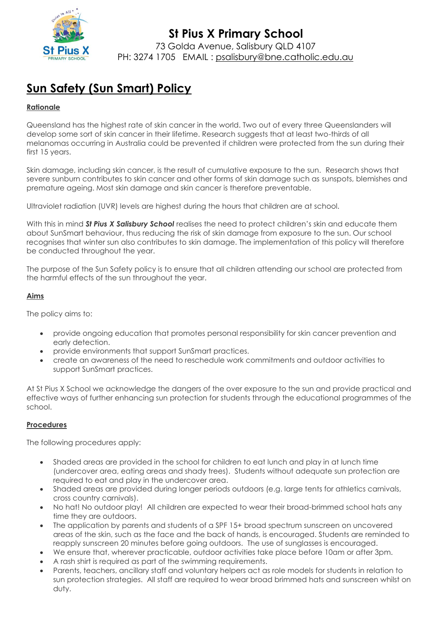

# **Sun Safety (Sun Smart) Policy**

## **Rationale**

Queensland has the highest rate of skin cancer in the world. Two out of every three Queenslanders will develop some sort of skin cancer in their lifetime. Research suggests that at least two-thirds of all melanomas occurring in Australia could be prevented if children were protected from the sun during their first 15 years.

Skin damage, including skin cancer, is the result of cumulative exposure to the sun. Research shows that severe sunburn contributes to skin cancer and other forms of skin damage such as sunspots, blemishes and premature ageing. Most skin damage and skin cancer is therefore preventable.

Ultraviolet radiation (UVR) levels are highest during the hours that children are at school.

With this in mind **St Pius X Salisbury School** realises the need to protect children's skin and educate them about SunSmart behaviour, thus reducing the risk of skin damage from exposure to the sun. Our school recognises that winter sun also contributes to skin damage. The implementation of this policy will therefore be conducted throughout the year.

The purpose of the Sun Safety policy is to ensure that all children attending our school are protected from the harmful effects of the sun throughout the year.

## **Aims**

The policy aims to:

- provide ongoing education that promotes personal responsibility for skin cancer prevention and early detection.
- provide environments that support SunSmart practices.
- create an awareness of the need to reschedule work commitments and outdoor activities to support SunSmart practices.

At St Pius X School we acknowledge the dangers of the over exposure to the sun and provide practical and effective ways of further enhancing sun protection for students through the educational programmes of the school.

## **Procedures**

The following procedures apply:

- Shaded areas are provided in the school for children to eat lunch and play in at lunch time (undercover area, eating areas and shady trees). Students without adequate sun protection are required to eat and play in the undercover area.
- Shaded areas are provided during longer periods outdoors (e.g. large tents for athletics carnivals, cross country carnivals).
- No hat! No outdoor play! All children are expected to wear their broad-brimmed school hats any time they are outdoors.
- The application by parents and students of a SPF 15+ broad spectrum sunscreen on uncovered areas of the skin, such as the face and the back of hands, is encouraged. Students are reminded to reapply sunscreen 20 minutes before going outdoors. The use of sunglasses is encouraged.
- We ensure that, wherever practicable, outdoor activities take place before 10am or after 3pm.
- A rash shirt is required as part of the swimming requirements.
- Parents, teachers, ancillary staff and voluntary helpers act as role models for students in relation to sun protection strategies. All staff are required to wear broad brimmed hats and sunscreen whilst on duty.